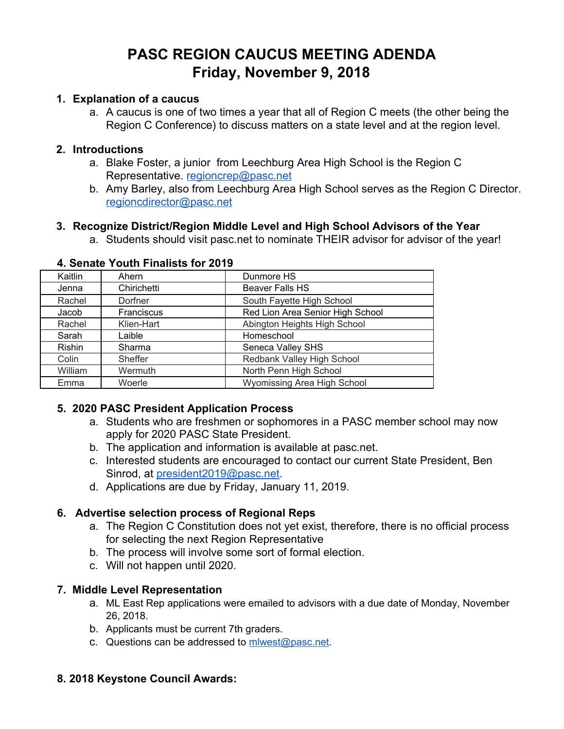# **PASC REGION CAUCUS MEETING ADENDA Friday, November 9, 2018**

#### **1. Explanation of a caucus**

a. A caucus is one of two times a year that all of Region C meets (the other being the Region C Conference) to discuss matters on a state level and at the region level.

#### **2. Introductions**

- a. Blake Foster, a junior from Leechburg Area High School is the Region C Representative. [regioncrep@pasc.net](mailto:regioncrep@pasc.net)
- b. Amy Barley, also from Leechburg Area High School serves as the Region C Director. [regioncdirector@pasc.net](mailto:regioncdirector@pasc.net)

## **3. Recognize District/Region Middle Level and High School Advisors of the Year**

a. Students should visit pasc.net to nominate THEIR advisor for advisor of the year!

| Kaitlin       | Ahern       | Dunmore HS                       |
|---------------|-------------|----------------------------------|
| Jenna         | Chirichetti | Beaver Falls HS                  |
| Rachel        | Dorfner     | South Fayette High School        |
| Jacob         | Franciscus  | Red Lion Area Senior High School |
| Rachel        | Klien-Hart  | Abington Heights High School     |
| Sarah         | Laible      | Homeschool                       |
| <b>Rishin</b> | Sharma      | Seneca Valley SHS                |
| Colin         | Sheffer     | Redbank Valley High School       |
| William       | Wermuth     | North Penn High School           |
| Emma          | Woerle      | Wyomissing Area High School      |

#### **4. Senate Youth Finalists for 2019**

## **5. 2020 PASC President Application Process**

- a. Students who are freshmen or sophomores in a PASC member school may now apply for 2020 PASC State President.
- b. The application and information is available at pasc.net.
- c. Interested students are encouraged to contact our current State President, Ben Sinrod, at [president2019@pasc.net.](mailto:president2020@pasc.net)
- d. Applications are due by Friday, January 11, 2019.

## **6. Advertise selection process of Regional Reps**

- a. The Region C Constitution does not yet exist, therefore, there is no official process for selecting the next Region Representative
- b. The process will involve some sort of formal election.
- c. Will not happen until 2020.

## **7. Middle Level Representation**

- a. ML East Rep applications were emailed to advisors with a due date of Monday, November 26, 2018.
- b. Applicants must be current 7th graders.
- c. Questions can be addressed to [mlwest@pasc.net](mailto:mlwest@pasc.net).

## **8. 2018 Keystone Council Awards:**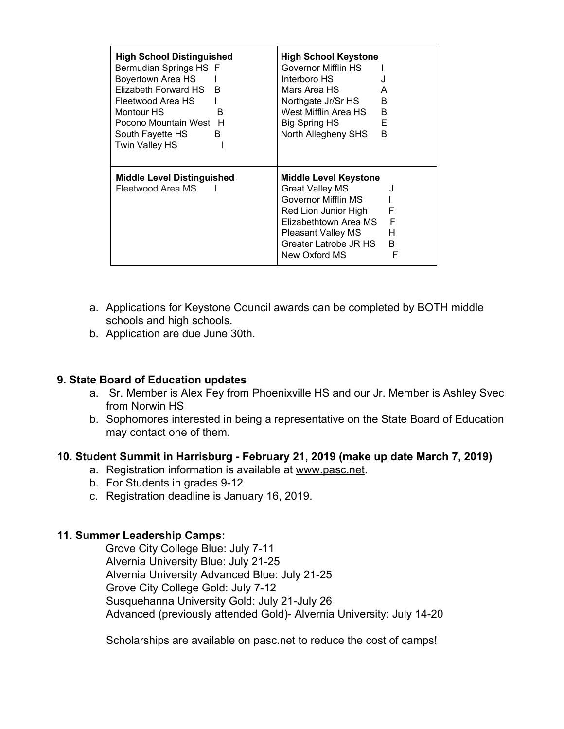| <b>High School Distinguished</b><br>Bermudian Springs HS F<br>Boyertown Area HS<br>Elizabeth Forward HS<br>B<br>Fleetwood Area HS<br>Montour HS<br>R<br>Pocono Mountain West H<br>B<br>South Fayette HS<br><b>Twin Valley HS</b> | <b>High School Keystone</b><br><b>Governor Mifflin HS</b><br>Interboro HS<br>Mars Area HS<br>A<br>B<br>Northgate Jr/Sr HS<br>West Mifflin Area HS<br>B<br>E<br><b>Big Spring HS</b><br>North Allegheny SHS<br>B                |
|----------------------------------------------------------------------------------------------------------------------------------------------------------------------------------------------------------------------------------|--------------------------------------------------------------------------------------------------------------------------------------------------------------------------------------------------------------------------------|
| <b>Middle Level Distinguished</b><br>Fleetwood Area MS                                                                                                                                                                           | <u>Middle Level Keystone</u><br><b>Great Valley MS</b><br>Governor Mifflin MS<br>F<br>Red Lion Junior High<br>F<br>Elizabethtown Area MS<br>н<br><b>Pleasant Valley MS</b><br>Greater Latrobe JR HS<br>B<br>F<br>New Oxford MS |

- a. Applications for Keystone Council awards can be completed by BOTH middle schools and high schools.
- b. Application are due June 30th.

#### **9. State Board of Education updates**

- a. Sr. Member is Alex Fey from Phoenixville HS and our Jr. Member is Ashley Svec from Norwin HS
- b. Sophomores interested in being a representative on the State Board of Education may contact one of them.

## **10. Student Summit in Harrisburg - February 21, 2019 (make up date March 7, 2019)**

- a. Registration information is available at [www.pasc.net.](http://www.pasc.net/)
- b. For Students in grades 9-12
- c. Registration deadline is January 16, 2019.

#### **11. Summer Leadership Camps:**

Grove City College Blue: July 7-11 Alvernia University Blue: July 21-25 Alvernia University Advanced Blue: July 21-25 Grove City College Gold: July 7-12 Susquehanna University Gold: July 21-July 26 Advanced (previously attended Gold)- Alvernia University: July 14-20

Scholarships are available on pasc.net to reduce the cost of camps!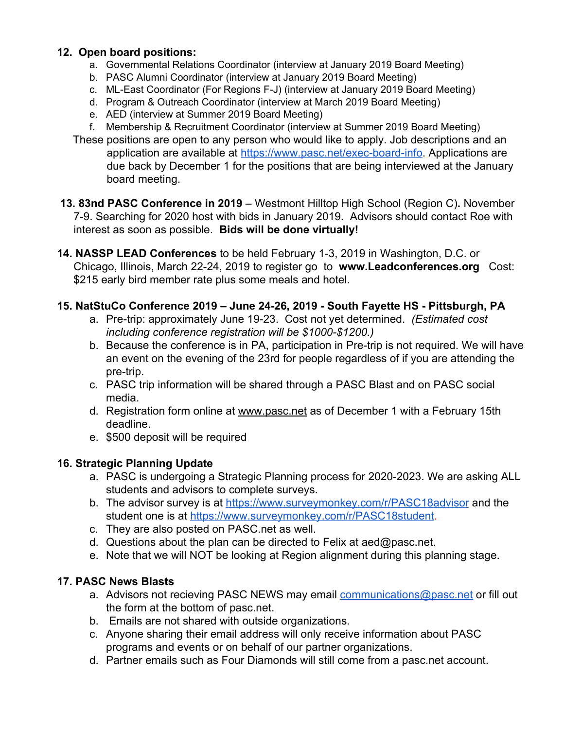## **12. Open board positions:**

- a. Governmental Relations Coordinator (interview at January 2019 Board Meeting)
- b. PASC Alumni Coordinator (interview at January 2019 Board Meeting)
- c. ML-East Coordinator (For Regions F-J) (interview at January 2019 Board Meeting)
- d. Program & Outreach Coordinator (interview at March 2019 Board Meeting)
- e. AED (interview at Summer 2019 Board Meeting)
- f. Membership & Recruitment Coordinator (interview at Summer 2019 Board Meeting)
- These positions are open to any person who would like to apply. Job descriptions and an application are available at [https://www.pasc.net/exec-board-info.](https://www.pasc.net/exec-board-info) Applications are due back by December 1 for the positions that are being interviewed at the January board meeting.
- **13. 83nd PASC Conference in 2019** Westmont Hilltop High School (Region C)**.** November 7-9. Searching for 2020 host with bids in January 2019. Advisors should contact Roe with interest as soon as possible. **Bids will be done virtually!**
- **14. NASSP LEAD Conferences** to be held February 1-3, 2019 in Washington, D.C. or Chicago, Illinois, March 22-24, 2019 to register go to **www.Leadconferences.org** Cost: \$215 early bird member rate plus some meals and hotel.
- **15. NatStuCo Conference 2019 June 24-26, 2019 South Fayette HS Pittsburgh, PA**
	- a. Pre-trip: approximately June 19-23. Cost not yet determined. *(Estimated cost including conference registration will be \$1000-\$1200.)*
	- b. Because the conference is in PA, participation in Pre-trip is not required. We will have an event on the evening of the 23rd for people regardless of if you are attending the pre-trip.
	- c. PASC trip information will be shared through a PASC Blast and on PASC social media.
	- d. Registration form online at [www.pasc.net](http://www.pasc.net/) as of December 1 with a February 15th deadline.
	- e. \$500 deposit will be required

# **16. Strategic Planning Update**

- a. PASC is undergoing a Strategic Planning process for 2020-2023. We are asking ALL students and advisors to complete surveys.
- b. The advisor survey is at<https://www.surveymonkey.com/r/PASC18advisor> and the student one is at<https://www.surveymonkey.com/r/PASC18student>.
- c. They are also posted on PASC.net as well.
- d. Questions about the plan can be directed to Felix at [aed@pasc.net](mailto:aed@pasc.net).
- e. Note that we will NOT be looking at Region alignment during this planning stage.

# **17. PASC News Blasts**

- a. Advisors not recieving PASC NEWS may email [communications@pasc.net](mailto:communications@pasc.net) or fill out the form at the bottom of pasc.net.
- b. Emails are not shared with outside organizations.
- c. Anyone sharing their email address will only receive information about PASC programs and events or on behalf of our partner organizations.
- d. Partner emails such as Four Diamonds will still come from a pasc.net account.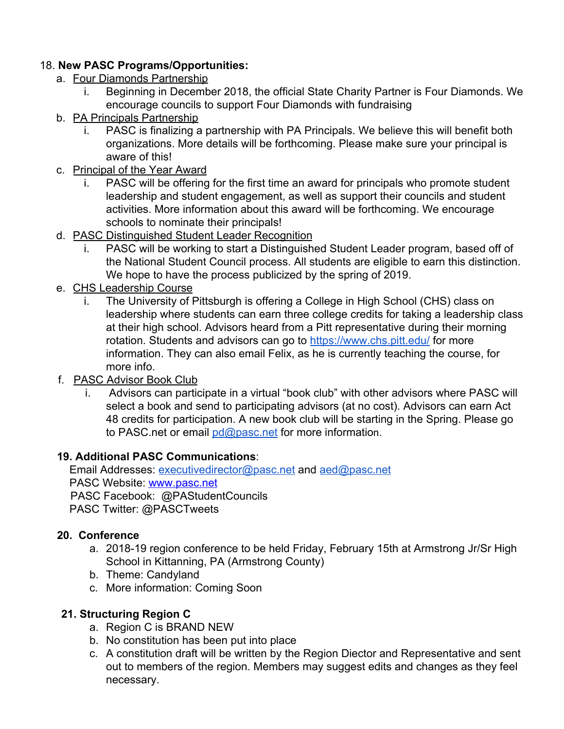## 18. **New PASC Programs/Opportunities:**

- a. Four Diamonds Partnership
	- i. Beginning in December 2018, the official State Charity Partner is Four Diamonds. We encourage councils to support Four Diamonds with fundraising
- b. PA Principals Partnership
	- i. PASC is finalizing a partnership with PA Principals. We believe this will benefit both organizations. More details will be forthcoming. Please make sure your principal is aware of this!
- c. Principal of the Year Award
	- i. PASC will be offering for the first time an award for principals who promote student leadership and student engagement, as well as support their councils and student activities. More information about this award will be forthcoming. We encourage schools to nominate their principals!
- d. PASC Distinguished Student Leader Recognition
	- i. PASC will be working to start a Distinguished Student Leader program, based off of the National Student Council process. All students are eligible to earn this distinction. We hope to have the process publicized by the spring of 2019.
- e. CHS Leadership Course
	- i. The University of Pittsburgh is offering a College in High School (CHS) class on leadership where students can earn three college credits for taking a leadership class at their high school. Advisors heard from a Pitt representative during their morning rotation. Students and advisors can go to <https://www.chs.pitt.edu/> for more information. They can also email Felix, as he is currently teaching the course, for more info.
- f. PASC Advisor Book Club
	- i. Advisors can participate in a virtual "book club" with other advisors where PASC will select a book and send to participating advisors (at no cost). Advisors can earn Act 48 credits for participation. A new book club will be starting in the Spring. Please go to PASC net or email [pd@pasc.net](mailto:pd@pasc.net) for more information.

## **19. Additional PASC Communications**:

Email Addresses: [executivedirector@pasc.net](mailto:executivedirector@pasc.net) and [aed@pasc.net](mailto:aed@pasc.net) PASC Website: [www.pasc.net](http://www.pasc.net/) PASC Facebook: @PAStude[nt](http://www.pasc.net/)Councils PASC Twitter: @PASCTweets

## **20. Conference**

- a. 2018-19 region conference to be held Friday, February 15th at Armstrong Jr/Sr High School in Kittanning, PA (Armstrong County)
- b. Theme: Candyland
- c. More information: Coming Soon

# **21. Structuring Region C**

- a. Region C is BRAND NEW
- b. No constitution has been put into place
- c. A constitution draft will be written by the Region Diector and Representative and sent out to members of the region. Members may suggest edits and changes as they feel necessary.